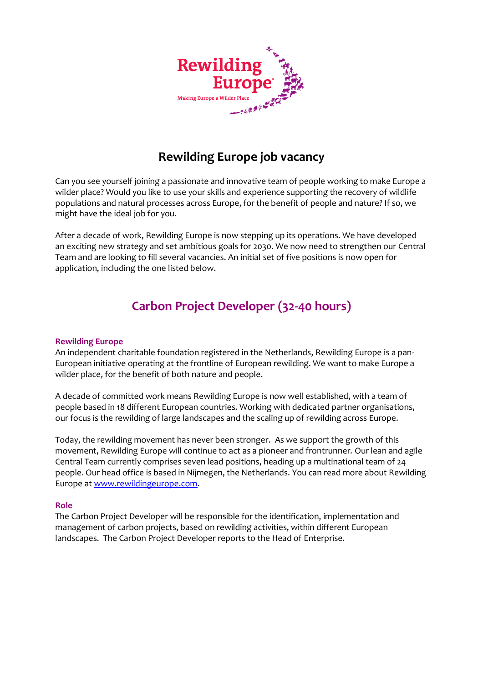

## **Rewilding Europe job vacancy**

Can you see yourself joining a passionate and innovative team of people working to make Europe a wilder place? Would you like to use your skills and experience supporting the recovery of wildlife populations and natural processes across Europe, for the benefit of people and nature? If so, we might have the ideal job for you.

After a decade of work, Rewilding Europe is now stepping up its operations. We have developed an exciting new strategy and set ambitious goals for 2030. We now need to strengthen our Central Team and are looking to fill several vacancies. An initial set of five positions is now open for application, including the one listed below.

# **Carbon Project Developer (32-40 hours)**

#### **Rewilding Europe**

An independent charitable foundation registered in the Netherlands, Rewilding Europe is a pan-European initiative operating at the frontline of European rewilding. We want to make Europe a wilder place, for the benefit of both nature and people.

A decade of committed work means Rewilding Europe is now well established, with a team of people based in 18 different European countries. Working with dedicated partner organisations, our focus is the rewilding of large landscapes and the scaling up of rewilding across Europe.

Today, the rewilding movement has never been stronger. As we support the growth of this movement, Rewilding Europe will continue to act as a pioneer and frontrunner. Our lean and agile Central Team currently comprises seven lead positions, heading up a multinational team of 24 people. Our head office is based in Nijmegen, the Netherlands. You can read more about Rewilding Europe at [www.rewildingeurope.com.](about:blank)

#### **Role**

The Carbon Project Developer will be responsible for the identification, implementation and management of carbon projects, based on rewilding activities, within different European landscapes. The Carbon Project Developer reports to the Head of Enterprise.